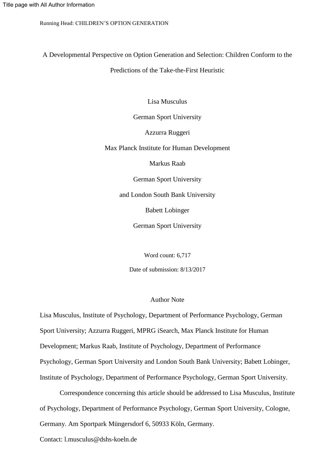A Developmental Perspective on Option Generation and Selection: Children Conform to the

Predictions of the Take-the-First Heuristic

Lisa Musculus

German Sport University

Azzurra Ruggeri

Max Planck Institute for Human Development

Markus Raab

German Sport University

and London South Bank University

Babett Lobinger

German Sport University

Word count: 6,717

Date of submission: 8/13/2017

#### Author Note

Lisa Musculus, Institute of Psychology, Department of Performance Psychology, German Sport University; Azzurra Ruggeri, MPRG iSearch, Max Planck Institute for Human Development; Markus Raab, Institute of Psychology, Department of Performance Psychology, German Sport University and London South Bank University; Babett Lobinger, Institute of Psychology, Department of Performance Psychology, German Sport University.

Correspondence concerning this article should be addressed to Lisa Musculus, Institute of Psychology, Department of Performance Psychology, German Sport University, Cologne, Germany. Am Sportpark Müngersdorf 6, 50933 Köln, Germany.

Contact: l.musculus@dshs-koeln.de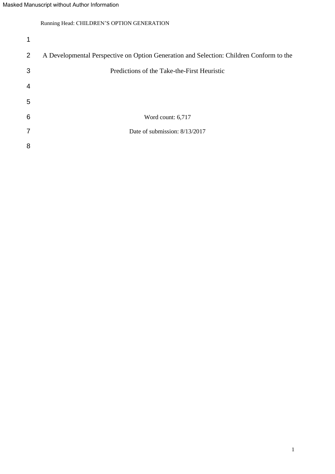| 1              |                                                                                         |
|----------------|-----------------------------------------------------------------------------------------|
| $\overline{2}$ | A Developmental Perspective on Option Generation and Selection: Children Conform to the |
| 3              | Predictions of the Take-the-First Heuristic                                             |
| $\overline{4}$ |                                                                                         |
| 5              |                                                                                         |
| 6              | Word count: 6,717                                                                       |
| $\overline{7}$ | Date of submission: 8/13/2017                                                           |
| 8              |                                                                                         |
|                |                                                                                         |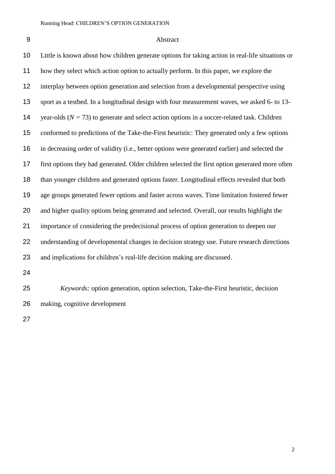# Abstract

| 10 | Little is known about how children generate options for taking action in real-life situations or |
|----|--------------------------------------------------------------------------------------------------|
| 11 | how they select which action option to actually perform. In this paper, we explore the           |
| 12 | interplay between option generation and selection from a developmental perspective using         |
| 13 | sport as a testbed. In a longitudinal design with four measurement waves, we asked 6- to 13-     |
| 14 | year-olds ( $N = 73$ ) to generate and select action options in a soccer-related task. Children  |
| 15 | conformed to predictions of the Take-the-First heuristic: They generated only a few options      |
| 16 | in decreasing order of validity (i.e., better options were generated earlier) and selected the   |
| 17 | first options they had generated. Older children selected the first option generated more often  |
| 18 | than younger children and generated options faster. Longitudinal effects revealed that both      |
| 19 | age groups generated fewer options and faster across waves. Time limitation fostered fewer       |
| 20 | and higher quality options being generated and selected. Overall, our results highlight the      |
| 21 | importance of considering the predecisional process of option generation to deepen our           |
| 22 | understanding of developmental changes in decision strategy use. Future research directions      |
| 23 | and implications for children's real-life decision making are discussed.                         |
| 24 |                                                                                                  |
|    |                                                                                                  |

 *Keywords:* option generation, option selection, Take-the-First heuristic, decision making, cognitive development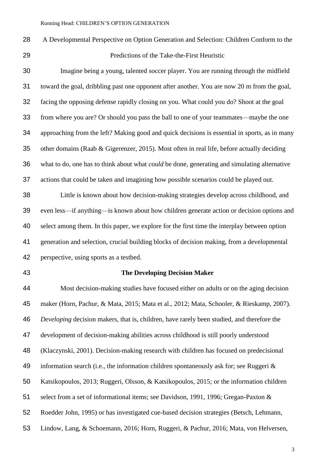A Developmental Perspective on Option Generation and Selection: Children Conform to the Predictions of the Take-the-First Heuristic

 Imagine being a young, talented soccer player. You are running through the midfield toward the goal, dribbling past one opponent after another. You are now 20 m from the goal, facing the opposing defense rapidly closing on you. What could you do? Shoot at the goal from where you are? Or should you pass the ball to one of your teammates—maybe the one approaching from the left? Making good and quick decisions is essential in sports, as in many other domains (Raab & Gigerenzer, 2015). Most often in real life, before actually deciding what to do, one has to think about what *could* be done, generating and simulating alternative actions that could be taken and imagining how possible scenarios could be played out.

 Little is known about how decision-making strategies develop across childhood, and even less—if anything—is known about how children generate action or decision options and select among them. In this paper, we explore for the first time the interplay between option generation and selection, crucial building blocks of decision making, from a developmental perspective, using sports as a testbed.

#### **The Developing Decision Maker**

 Most decision-making studies have focused either on adults or on the aging decision maker (Horn, Pachur, & Mata, 2015; Mata et al., 2012; Mata, Schooler, & Rieskamp, 2007). *Developing* decision makers, that is, children, have rarely been studied, and therefore the development of decision-making abilities across childhood is still poorly understood (Klaczynski, 2001). Decision-making research with children has focused on predecisional information search (i.e., the information children spontaneously ask for; see Ruggeri & Katsikopoulos, 2013; Ruggeri, Olsson, & Katsikopoulos, 2015; or the information children select from a set of informational items; see Davidson, 1991, 1996; Gregan-Paxton & Roedder John, 1995) or has investigated cue-based decision strategies (Betsch, Lehmann, Lindow, Lang, & Schoemann, 2016; Horn, Ruggeri, & Pachur, 2016; Mata, von Helversen,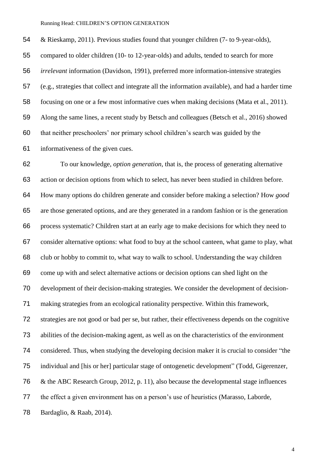& Rieskamp, 2011). Previous studies found that younger children (7- to 9-year-olds), compared to older children (10- to 12-year-olds) and adults, tended to search for more *irrelevant* information (Davidson, 1991), preferred more information-intensive strategies (e.g., strategies that collect and integrate all the information available), and had a harder time focusing on one or a few most informative cues when making decisions (Mata et al., 2011). Along the same lines, a recent study by Betsch and colleagues (Betsch et al., 2016) showed that neither preschoolers' nor primary school children's search was guided by the informativeness of the given cues.

 To our knowledge, *option generation*, that is, the process of generating alternative action or decision options from which to select, has never been studied in children before. How many options do children generate and consider before making a selection? How *good* are those generated options, and are they generated in a random fashion or is the generation process systematic? Children start at an early age to make decisions for which they need to consider alternative options: what food to buy at the school canteen, what game to play, what club or hobby to commit to, what way to walk to school. Understanding the way children come up with and select alternative actions or decision options can shed light on the development of their decision-making strategies. We consider the development of decision- making strategies from an ecological rationality perspective. Within this framework, strategies are not good or bad per se, but rather, their effectiveness depends on the cognitive abilities of the decision-making agent, as well as on the characteristics of the environment considered. Thus, when studying the developing decision maker it is crucial to consider "the individual and [his or her] particular stage of ontogenetic development" (Todd, Gigerenzer, & the ABC Research Group, 2012, p. 11), also because the developmental stage influences the effect a given environment has on a person's use of heuristics (Marasso, Laborde, Bardaglio, & Raab, 2014).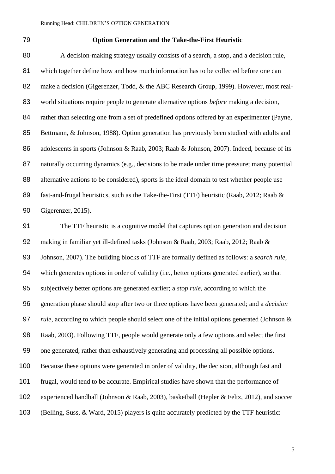#### **Option Generation and the Take-the-First Heuristic**

 A decision-making strategy usually consists of a search, a stop, and a decision rule, which together define how and how much information has to be collected before one can 82 make a decision (Gigerenzer, Todd, & the ABC Research Group, 1999). However, most real- world situations require people to generate alternative options *before* making a decision, 84 rather than selecting one from a set of predefined options offered by an experimenter (Payne, Bettmann, & Johnson, 1988). Option generation has previously been studied with adults and 86 adolescents in sports (Johnson & Raab, 2003; Raab & Johnson, 2007). Indeed, because of its 87 naturally occurring dynamics (e.g., decisions to be made under time pressure; many potential 88 alternative actions to be considered), sports is the ideal domain to test whether people use fast-and-frugal heuristics, such as the Take-the-First (TTF) heuristic (Raab, 2012; Raab & Gigerenzer, 2015).

 The TTF heuristic is a cognitive model that captures option generation and decision making in familiar yet ill-defined tasks (Johnson & Raab, 2003; Raab, 2012; Raab & Johnson, 2007). The building blocks of TTF are formally defined as follows: a *search rule,*  which generates options in order of validity (i.e., better options generated earlier), so that subjectively better options are generated earlier; a *stop rule,* according to which the generation phase should stop after two or three options have been generated; and a *decision rule,* according to which people should select one of the initial options generated (Johnson & Raab, 2003). Following TTF, people would generate only a few options and select the first one generated, rather than exhaustively generating and processing all possible options. Because these options were generated in order of validity, the decision, although fast and frugal, would tend to be accurate. Empirical studies have shown that the performance of experienced handball (Johnson & Raab, 2003), basketball (Hepler & Feltz, 2012), and soccer (Belling, Suss, & Ward, 2015) players is quite accurately predicted by the TTF heuristic: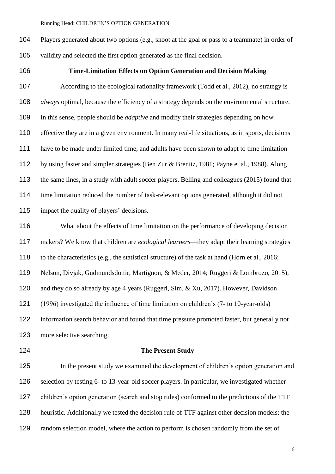Players generated about two options (e.g., shoot at the goal or pass to a teammate) in order of validity and selected the first option generated as the final decision.

# **Time-Limitation Effects on Option Generation and Decision Making**

 According to the ecological rationality framework (Todd et al., 2012), no strategy is *always* optimal, because the efficiency of a strategy depends on the environmental structure. In this sense, people should be *adaptive* and modify their strategies depending on how effective they are in a given environment. In many real-life situations, as in sports, decisions have to be made under limited time, and adults have been shown to adapt to time limitation by using faster and simpler strategies (Ben Zur & Brenitz, 1981; Payne et al., 1988). Along the same lines, in a study with adult soccer players, Belling and colleagues (2015) found that time limitation reduced the number of task-relevant options generated, although it did not impact the quality of players' decisions.

 What about the effects of time limitation on the performance of developing decision makers? We know that children are *ecological learners*—they adapt their learning strategies to the characteristics (e.g., the statistical structure) of the task at hand (Horn et al., 2016; Nelson, Divjak, Gudmundsdottir, Martignon, & Meder, 2014; Ruggeri & Lombrozo, 2015), and they do so already by age 4 years (Ruggeri, Sim, & Xu, 2017). However, Davidson (1996) investigated the influence of time limitation on children's (7- to 10-year-olds) information search behavior and found that time pressure promoted faster, but generally not more selective searching.

#### **The Present Study**

 In the present study we examined the development of children's option generation and selection by testing 6- to 13-year-old soccer players. In particular, we investigated whether children's option generation (search and stop rules) conformed to the predictions of the TTF heuristic. Additionally we tested the decision rule of TTF against other decision models: the random selection model, where the action to perform is chosen randomly from the set of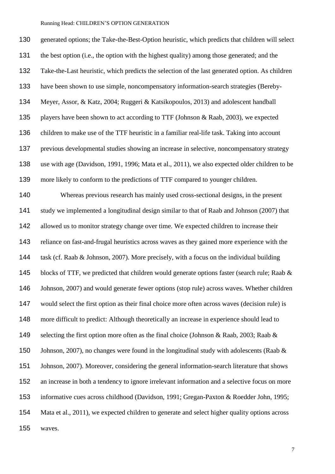generated options; the Take-the-Best-Option heuristic, which predicts that children will select the best option (i.e., the option with the highest quality) among those generated; and the Take-the-Last heuristic, which predicts the selection of the last generated option. As children have been shown to use simple, noncompensatory information-search strategies (Bereby- Meyer, Assor, & Katz, 2004; Ruggeri & Katsikopoulos, 2013) and adolescent handball players have been shown to act according to TTF (Johnson & Raab, 2003), we expected children to make use of the TTF heuristic in a familiar real-life task. Taking into account previous developmental studies showing an increase in selective, noncompensatory strategy use with age (Davidson, 1991, 1996; Mata et al., 2011), we also expected older children to be more likely to conform to the predictions of TTF compared to younger children. Whereas previous research has mainly used cross-sectional designs, in the present study we implemented a longitudinal design similar to that of Raab and Johnson (2007) that 142 allowed us to monitor strategy change over time. We expected children to increase their reliance on fast-and-frugal heuristics across waves as they gained more experience with the task (cf. Raab & Johnson, 2007). More precisely, with a focus on the individual building 145 blocks of TTF, we predicted that children would generate options faster (search rule; Raab & Johnson, 2007) and would generate fewer options (stop rule) across waves. Whether children would select the first option as their final choice more often across waves (decision rule) is more difficult to predict: Although theoretically an increase in experience should lead to 149 selecting the first option more often as the final choice (Johnson & Raab, 2003; Raab & 150 Johnson, 2007), no changes were found in the longitudinal study with adolescents (Raab & Johnson, 2007). Moreover, considering the general information-search literature that shows an increase in both a tendency to ignore irrelevant information and a selective focus on more informative cues across childhood (Davidson, 1991; Gregan-Paxton & Roedder John, 1995; Mata et al., 2011), we expected children to generate and select higher quality options across waves.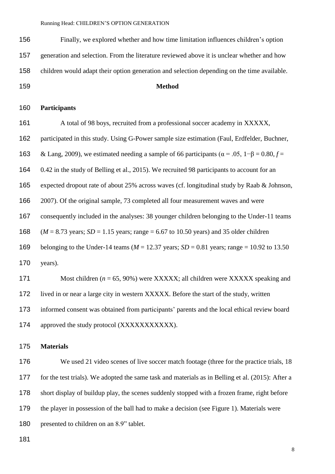Finally, we explored whether and how time limitation influences children's option generation and selection. From the literature reviewed above it is unclear whether and how

children would adapt their option generation and selection depending on the time available.

**Method**

# **Participants**

 A total of 98 boys, recruited from a professional soccer academy in XXXXX, participated in this study. Using G-Power sample size estimation (Faul, Erdfelder, Buchner, 163 & Lang, 2009), we estimated needing a sample of 66 participants ( $\alpha$  = .05, 1– $\beta$  = 0.80,  $f$  = 0.42 in the study of Belling et al., 2015). We recruited 98 participants to account for an expected dropout rate of about 25% across waves (cf. longitudinal study by Raab & Johnson, 2007). Of the original sample, 73 completed all four measurement waves and were consequently included in the analyses: 38 younger children belonging to the Under-11 teams (*M* = 8.73 years; *SD* = 1.15 years; range = 6.67 to 10.50 years) and 35 older children belonging to the Under-14 teams (*M* = 12.37 years; *SD* = 0.81 years; range = 10.92 to 13.50 years). Most children (*n* = 65, 90%) were XXXXX; all children were XXXXX speaking and lived in or near a large city in western XXXXX. Before the start of the study, written informed consent was obtained from participants' parents and the local ethical review board 174 approved the study protocol (XXXXXXXXXXX).

#### **Materials**

176 We used 21 video scenes of live soccer match footage (three for the practice trials, 18 for the test trials). We adopted the same task and materials as in Belling et al. (2015): After a short display of buildup play, the scenes suddenly stopped with a frozen frame, right before 179 the player in possession of the ball had to make a decision (see Figure 1). Materials were 180 presented to children on an 8.9" tablet.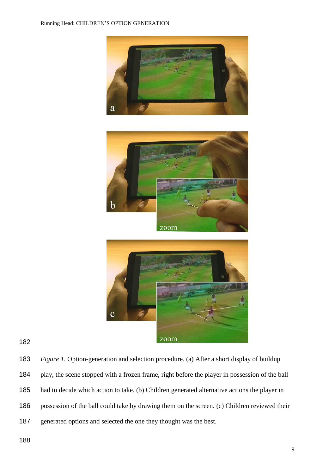





 *Figure 1.* Option-generation and selection procedure. (a) After a short display of buildup play, the scene stopped with a frozen frame, right before the player in possession of the ball had to decide which action to take. (b) Children generated alternative actions the player in possession of the ball could take by drawing them on the screen. (c) Children reviewed their generated options and selected the one they thought was the best.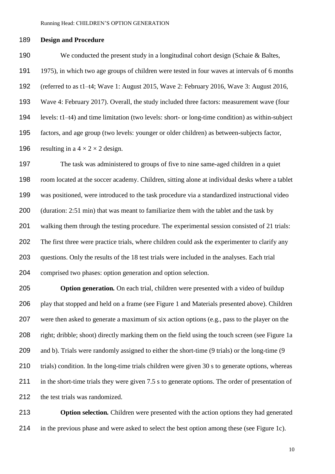#### **Design and Procedure**

 We conducted the present study in a longitudinal cohort design (Schaie & Baltes, 1975), in which two age groups of children were tested in four waves at intervals of 6 months (referred to as t1–t4; Wave 1: August 2015, Wave 2: February 2016, Wave 3: August 2016, Wave 4: February 2017). Overall, the study included three factors: measurement wave (four levels: t1–t4) and time limitation (two levels: short- or long-time condition) as within-subject factors, and age group (two levels: younger or older children) as between-subjects factor, 196 resulting in a  $4 \times 2 \times 2$  design.

 The task was administered to groups of five to nine same-aged children in a quiet room located at the soccer academy. Children, sitting alone at individual desks where a tablet was positioned, were introduced to the task procedure via a standardized instructional video (duration: 2:51 min) that was meant to familiarize them with the tablet and the task by walking them through the testing procedure. The experimental session consisted of 21 trials: The first three were practice trials, where children could ask the experimenter to clarify any questions. Only the results of the 18 test trials were included in the analyses. Each trial comprised two phases: option generation and option selection.

 **Option generation***.* On each trial, children were presented with a video of buildup play that stopped and held on a frame (see Figure 1 and Materials presented above). Children were then asked to generate a maximum of six action options (e.g., pass to the player on the right; dribble; shoot) directly marking them on the field using the touch screen (see Figure 1a 209 and b). Trials were randomly assigned to either the short-time (9 trials) or the long-time (9 210 trials) condition. In the long-time trials children were given 30 s to generate options, whereas in the short-time trials they were given 7.5 s to generate options. The order of presentation of the test trials was randomized.

 **Option selection***.* Children were presented with the action options they had generated in the previous phase and were asked to select the best option among these (see Figure 1c).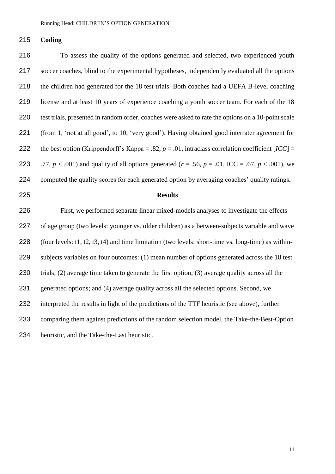#### **Coding**

 To assess the quality of the options generated and selected, two experienced youth soccer coaches, blind to the experimental hypotheses, independently evaluated all the options the children had generated for the 18 test trials. Both coaches had a UEFA B-level coaching license and at least 10 years of experience coaching a youth soccer team. For each of the 18 test trials, presented in random order, coaches were asked to rate the options on a 10-point scale (from 1, 'not at all good', to 10, 'very good'). Having obtained good interrater agreement for 222 the best option (Krippendorff's Kappa = .82,  $p = .01$ , intraclass correlation coefficient  $[ICC] =$ 223 .77,  $p < .001$ ) and quality of all options generated ( $r = .56$ ,  $p = .01$ , ICC = .67,  $p < .001$ ), we computed the quality scores for each generated option by averaging coaches' quality ratings*.*  **Results**  First, we performed separate linear mixed-models analyses to investigate the effects of age group (two levels: younger vs. older children) as a between-subjects variable and wave (four levels: t1, t2, t3, t4) and time limitation (two levels: short-time vs. long-time) as within- subjects variables on four outcomes: (1) mean number of options generated across the 18 test trials; (2) average time taken to generate the first option; (3) average quality across all the generated options; and (4) average quality across all the selected options. Second, we interpreted the results in light of the predictions of the TTF heuristic (see above), further comparing them against predictions of the random selection model, the Take-the-Best-Option heuristic, and the Take-the-Last heuristic.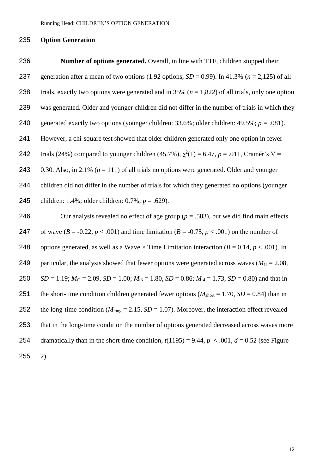#### 235 **Option Generation**

236 **Number of options generated.** Overall, in line with TTF, children stopped their 237 generation after a mean of two options  $(1.92 \text{ options}, SD = 0.99)$ . In 41.3%  $(n = 2,125)$  of all 238 trials, exactly two options were generated and in 35% (*n* = 1,822) of all trials, only one option 239 was generated. Older and younger children did not differ in the number of trials in which they 240 generated exactly two options (younger children:  $33.6\%$ ; older children:  $49.5\%$ ;  $p = .081$ ). 241 However, a chi-square test showed that older children generated only one option in fewer 242 trials (24%) compared to younger children (45.7%),  $\chi^2(1) = 6.47$ ,  $p = .011$ , Cramér's V = 243 0.30. Also, in 2.1% ( $n = 111$ ) of all trials no options were generated. Older and younger 244 children did not differ in the number of trials for which they generated no options (younger 245 children: 1.4%; older children: 0.7%; *p* = .629). 246 Our analysis revealed no effect of age group (*p* = .583), but we did find main effects 247 of wave  $(B = -0.22, p < .001)$  and time limitation  $(B = -0.75, p < .001)$  on the number of 248 options generated, as well as a Wave  $\times$  Time Limitation interaction ( $B = 0.14$ ,  $p < .001$ ). In 249 particular, the analysis showed that fewer options were generated across waves  $(M_{t1} = 2.08,$ 250 *SD* = 1.19;  $M_{12} = 2.09$ ,  $SD = 1.00$ ;  $M_{13} = 1.80$ ,  $SD = 0.86$ ;  $M_{14} = 1.73$ ,  $SD = 0.80$ ) and that in 251 the short-time condition children generated fewer options ( $M_{\text{short}} = 1.70$ ,  $SD = 0.84$ ) than in 252 the long-time condition ( $M_{\text{long}} = 2.15$ ,  $SD = 1.07$ ). Moreover, the interaction effect revealed 253 that in the long-time condition the number of options generated decreased across waves more 254 dramatically than in the short-time condition,  $t(1195) = 9.44$ ,  $p < .001$ ,  $d = 0.52$  (see Figure 255 2).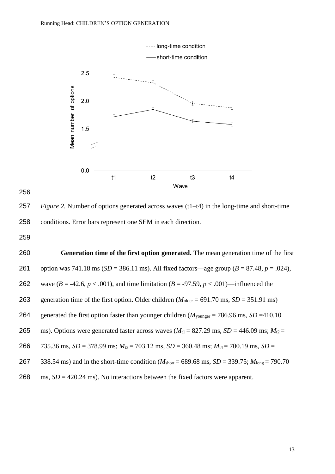

256

257 *Figure 2.* Number of options generated across waves (t1–t4) in the long-time and short-time 258 conditions. Error bars represent one SEM in each direction.

259

260 **Generation time of the first option generated.** The mean generation time of the first 261 option was 741.18 ms (*SD* = 386.11 ms). All fixed factors—age group (*B* = 87.48, *p* = .024), 262 wave ( $B = -42.6$ ,  $p < .001$ ), and time limitation ( $B = -97.59$ ,  $p < .001$ )—influenced the 263 generation time of the first option. Older children  $(M_{\text{older}} = 691.70 \text{ ms}, SD = 351.91 \text{ ms})$ 264 generated the first option faster than younger children  $(M_{\text{vounger}} = 786.96 \text{ ms}, SD = 410.10$ 265 ms). Options were generated faster across waves  $(M_{t1} = 827.29 \text{ ms}, SD = 446.09 \text{ ms}; M_{t2} =$ 266  $\overline{735.36 \text{ ms}}$ ,  $\overline{SD} = 378.99 \text{ ms}$ ;  $M_{t3} = 703.12 \text{ ms}$ ,  $\overline{SD} = 360.48 \text{ ms}$ ;  $M_{t4} = 700.19 \text{ ms}$ ,  $\overline{SD} =$ 267 338.54 ms) and in the short-time condition (*M*short = 689.68 ms, *SD* = 339.75; *M*long = 790.70 268 ms, *SD* = 420.24 ms). No interactions between the fixed factors were apparent.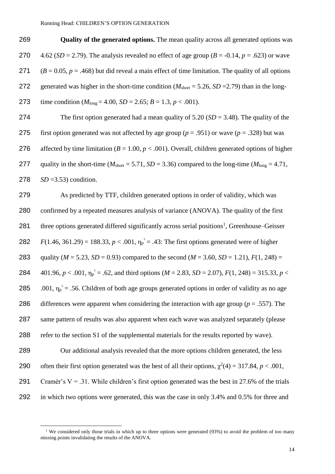269 **Quality of the generated options.** The mean quality across all generated options was 270  $4.62$  (*SD* = 2.79). The analysis revealed no effect of age group (*B* = -0.14, *p* = .623) or wave 271  $(B = 0.05, p = .468)$  but did reveal a main effect of time limitation. The quality of all options 272 generated was higher in the short-time condition  $(M_{short} = 5.26, SD = 2.79)$  than in the long-273 time condition  $(M_{\text{long}} = 4.00, SD = 2.65; B = 1.3, p < .001)$ .

274 The first option generated had a mean quality of 5.20 (*SD* = 3.48). The quality of the 275 first option generated was not affected by age group (*p* = .951) or wave (*p* = .328) but was 276 affected by time limitation  $(B = 1.00, p < .001)$ . Overall, children generated options of higher 277 quality in the short-time ( $M_{\text{short}} = 5.71$ ,  $SD = 3.36$ ) compared to the long-time ( $M_{\text{long}} = 4.71$ , 278 *SD* =3.53) condition.

279 As predicted by TTF, children generated options in order of validity, which was 280 confirmed by a repeated measures analysis of variance (ANOVA). The quality of the first 281 three options generated differed significantly across serial positions<sup>1</sup>, Greenhouse–Geisser 282  $F(1.46, 361.29) = 188.33, p < .001, \eta_p^2 = .43$ : The first options generated were of higher 283 quality ( $M = 5.23$ ,  $SD = 0.93$ ) compared to the second ( $M = 3.60$ ,  $SD = 1.21$ ),  $F(1, 248) =$ 284  $401.96, p < .001, \eta_p^2 = .62$ , and third options ( $M = 2.83, SD = 2.07$ ),  $F(1, 248) = 315.33, p <$ 285 .001,  $\eta_p^2$  = .56. Children of both age groups generated options in order of validity as no age 286 differences were apparent when considering the interaction with age group (*p* = .557). The 287 same pattern of results was also apparent when each wave was analyzed separately (please 288 refer to the section S1 of the supplemental materials for the results reported by wave). 289 Our additional analysis revealed that the more options children generated, the less 290 often their first option generated was the best of all their options,  $\chi^2(4) = 317.84$ , *p* < .001,

291 Cramér's  $V = .31$ . While children's first option generated was the best in 27.6% of the trials 292 in which two options were generated, this was the case in only 3.4% and 0.5% for three and

 $\overline{a}$ 

<sup>&</sup>lt;sup>1</sup> We considered only those trials in which up to three options were generated (93%) to avoid the problem of too many missing points invalidating the results of the ANOVA.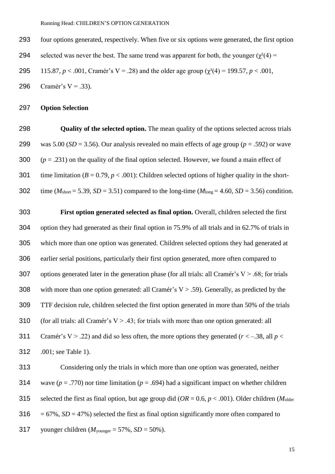- 293 four options generated, respectively. When five or six options were generated, the first option
- 294 selected was never the best. The same trend was apparent for both, the younger  $(\gamma^2/4)$  =
- 295 115.87,  $p < .001$ , Cramér's V = .28) and the older age group ( $\chi^2(4) = 199.57$ ,  $p < .001$ ,

296 Cramér's  $V = .33$ ).

# 297 **Option Selection**

298 **Quality of the selected option.** The mean quality of the options selected across trials 299 was 5.00 ( $SD = 3.56$ ). Our analysis revealed no main effects of age group ( $p = .592$ ) or wave 300  $(p = .231)$  on the quality of the final option selected. However, we found a main effect of 301 time limitation  $(B = 0.79, p < .001)$ : Children selected options of higher quality in the short-302 time ( $M_{\text{short}} = 5.39$ ,  $SD = 3.51$ ) compared to the long-time ( $M_{\text{long}} = 4.60$ ,  $SD = 3.56$ ) condition.

303 **First option generated selected as final option.** Overall, children selected the first 304 option they had generated as their final option in 75.9% of all trials and in 62.7% of trials in 305 which more than one option was generated. Children selected options they had generated at 306 earlier serial positions, particularly their first option generated, more often compared to 307 options generated later in the generation phase (for all trials: all Cramér's  $V > .68$ ; for trials 308 with more than one option generated: all Cramér's  $V > .59$ ). Generally, as predicted by the 309 TTF decision rule, children selected the first option generated in more than 50% of the trials 310 (for all trials: all Cramér's  $V > .43$ ; for trials with more than one option generated: all 311 Cramér's V > .22) and did so less often, the more options they generated  $(r < -0.38$ , all  $p <$ 312 .001; see Table 1).

313 Considering only the trials in which more than one option was generated, neither 314 wave (*p* = .770) nor time limitation (*p* = .694) had a significant impact on whether children 315 selected the first as final option, but age group did  $(OR = 0.6, p < .001)$ . Older children  $(M_{\text{older}})$ 316  $= 67\%$ ,  $SD = 47\%$ ) selected the first as final option significantly more often compared to 317 younger children  $(M_{\text{vounger}} = 57\%, SD = 50\%).$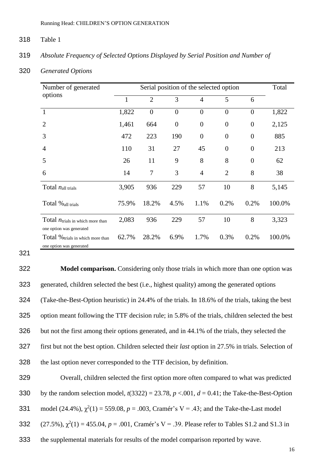#### 318 Table 1

### 319 *Absolute Frequency of Selected Options Displayed by Serial Position and Number of*

320 *Generated Options* 

| Number of generated                                                      |       | Total          |                |                |                |                  |        |
|--------------------------------------------------------------------------|-------|----------------|----------------|----------------|----------------|------------------|--------|
| options                                                                  | 1     | $\overline{2}$ | 3              | 4              | 5              | 6                |        |
| $\mathbf{1}$                                                             | 1,822 | $\overline{0}$ | $\overline{0}$ | $\overline{0}$ | $\overline{0}$ | $\overline{0}$   | 1,822  |
| $\overline{2}$                                                           | 1,461 | 664            | $\overline{0}$ | $\overline{0}$ | $\overline{0}$ | $\overline{0}$   | 2,125  |
| 3                                                                        | 472   | 223            | 190            | $\theta$       | $\overline{0}$ | $\boldsymbol{0}$ | 885    |
| $\overline{4}$                                                           | 110   | 31             | 27             | 45             | $\overline{0}$ | $\boldsymbol{0}$ | 213    |
| 5                                                                        | 26    | 11             | 9              | 8              | 8              | $\overline{0}$   | 62     |
| 6                                                                        | 14    | $\tau$         | 3              | $\overline{4}$ | $\overline{2}$ | 8                | 38     |
| Total $n_{all}$ trials                                                   | 3,905 | 936            | 229            | 57             | 10             | 8                | 5,145  |
| Total % all trials                                                       | 75.9% | 18.2%          | 4.5%           | 1.1%           | 0.2%           | 0.2%             | 100.0% |
| Total $n_{\text{trials in which more than}}$<br>one option was generated | 2,083 | 936            | 229            | 57             | 10             | 8                | 3,323  |
| Total % trials in which more than<br>one option was generated            | 62.7% | 28.2%          | 6.9%           | 1.7%           | 0.3%           | 0.2%             | 100.0% |

321

 **Model comparison.** Considering only those trials in which more than one option was generated, children selected the best (i.e., highest quality) among the generated options (Take-the-Best-Option heuristic) in 24.4% of the trials. In 18.6% of the trials, taking the best option meant following the TTF decision rule; in 5.8% of the trials, children selected the best but not the first among their options generated, and in 44.1% of the trials, they selected the first but not the best option. Children selected their *last* option in 27.5% in trials. Selection of the last option never corresponded to the TTF decision, by definition.

329 Overall, children selected the first option more often compared to what was predicted 330 by the random selection model,  $t(3322) = 23.78$ ,  $p < .001$ ,  $d = 0.41$ ; the Take-the-Best-Option 331 model  $(24.4\%)$ ,  $\chi^2(1) = 559.08$ ,  $p = .003$ , Cramér's V = .43; and the Take-the-Last model 332 (27.5%),  $\chi^2(1) = 455.04$ ,  $p = .001$ , Cramér's V = .39. Please refer to Tables S1.2 and S1.3 in 333 the supplemental materials for results of the model comparison reported by wave.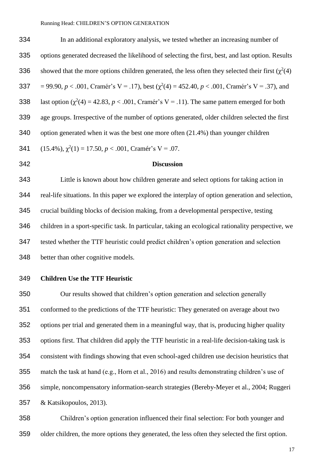In an additional exploratory analysis, we tested whether an increasing number of options generated decreased the likelihood of selecting the first, best, and last option. Results 336 showed that the more options children generated, the less often they selected their first  $(\chi^2(4))$ 337 = 99.90,  $p < .001$ , Cramér's V = .17), best ( $\chi^2(4) = 452.40$ ,  $p < .001$ , Cramér's V = .37), and 338 last option  $(\chi^2(4) = 42.83, p < .001,$  Cramér's V = .11). The same pattern emerged for both age groups. Irrespective of the number of options generated, older children selected the first option generated when it was the best one more often (21.4%) than younger children 341 (15.4%),  $\chi^2(1) = 17.50, p < .001$ , Cramér's V = .07.

#### **Discussion**

 Little is known about how children generate and select options for taking action in real-life situations. In this paper we explored the interplay of option generation and selection, crucial building blocks of decision making, from a developmental perspective, testing children in a sport-specific task. In particular, taking an ecological rationality perspective, we tested whether the TTF heuristic could predict children's option generation and selection better than other cognitive models.

#### **Children Use the TTF Heuristic**

 Our results showed that children's option generation and selection generally conformed to the predictions of the TTF heuristic: They generated on average about two options per trial and generated them in a meaningful way, that is, producing higher quality options first. That children did apply the TTF heuristic in a real-life decision-taking task is consistent with findings showing that even school-aged children use decision heuristics that match the task at hand (e.g., Horn et al., 2016) and results demonstrating children's use of simple, noncompensatory information-search strategies (Bereby-Meyer et al., 2004; Ruggeri & Katsikopoulos, 2013).

 Children's option generation influenced their final selection: For both younger and older children, the more options they generated, the less often they selected the first option.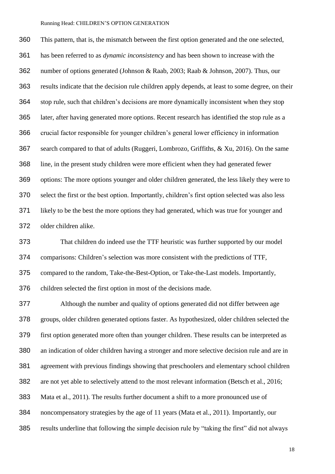This pattern, that is, the mismatch between the first option generated and the one selected, has been referred to as *dynamic inconsistency* and has been shown to increase with the number of options generated (Johnson & Raab, 2003; Raab & Johnson, 2007). Thus, our results indicate that the decision rule children apply depends, at least to some degree, on their stop rule, such that children's decisions are more dynamically inconsistent when they stop later, after having generated more options. Recent research has identified the stop rule as a crucial factor responsible for younger children's general lower efficiency in information search compared to that of adults (Ruggeri, Lombrozo, Griffiths, & Xu, 2016). On the same line, in the present study children were more efficient when they had generated fewer options: The more options younger and older children generated, the less likely they were to select the first or the best option. Importantly, children's first option selected was also less likely to be the best the more options they had generated, which was true for younger and older children alike.

 That children do indeed use the TTF heuristic was further supported by our model comparisons: Children's selection was more consistent with the predictions of TTF, compared to the random, Take-the-Best-Option, or Take-the-Last models. Importantly, children selected the first option in most of the decisions made.

 Although the number and quality of options generated did not differ between age groups, older children generated options faster. As hypothesized, older children selected the first option generated more often than younger children. These results can be interpreted as an indication of older children having a stronger and more selective decision rule and are in agreement with previous findings showing that preschoolers and elementary school children are not yet able to selectively attend to the most relevant information (Betsch et al., 2016; Mata et al., 2011). The results further document a shift to a more pronounced use of noncompensatory strategies by the age of 11 years (Mata et al., 2011). Importantly, our results underline that following the simple decision rule by "taking the first" did not always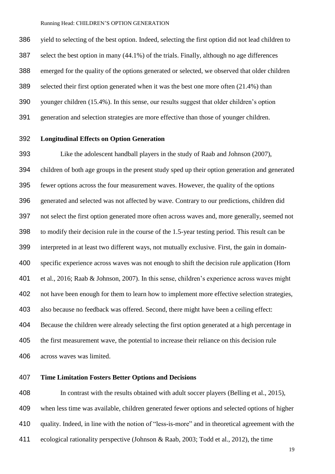yield to selecting of the best option. Indeed, selecting the first option did not lead children to select the best option in many (44.1%) of the trials. Finally, although no age differences emerged for the quality of the options generated or selected, we observed that older children selected their first option generated when it was the best one more often (21.4%) than younger children (15.4%). In this sense, our results suggest that older children's option generation and selection strategies are more effective than those of younger children.

# **Longitudinal Effects on Option Generation**

 Like the adolescent handball players in the study of Raab and Johnson (2007), children of both age groups in the present study sped up their option generation and generated fewer options across the four measurement waves. However, the quality of the options generated and selected was not affected by wave. Contrary to our predictions, children did not select the first option generated more often across waves and, more generally, seemed not to modify their decision rule in the course of the 1.5-year testing period. This result can be interpreted in at least two different ways, not mutually exclusive. First, the gain in domain- specific experience across waves was not enough to shift the decision rule application (Horn et al., 2016; Raab & Johnson, 2007). In this sense, children's experience across waves might not have been enough for them to learn how to implement more effective selection strategies, also because no feedback was offered. Second, there might have been a ceiling effect: Because the children were already selecting the first option generated at a high percentage in the first measurement wave, the potential to increase their reliance on this decision rule across waves was limited.

### **Time Limitation Fosters Better Options and Decisions**

 In contrast with the results obtained with adult soccer players (Belling et al., 2015), when less time was available, children generated fewer options and selected options of higher quality. Indeed, in line with the notion of "less-is-more" and in theoretical agreement with the ecological rationality perspective (Johnson & Raab, 2003; Todd et al., 2012), the time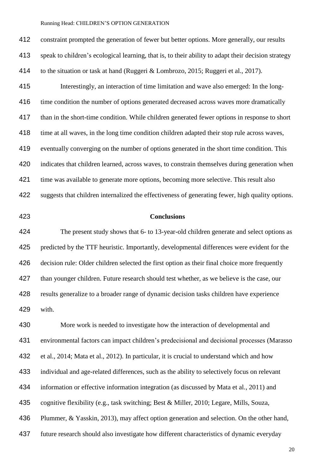constraint prompted the generation of fewer but better options. More generally, our results speak to children's ecological learning, that is, to their ability to adapt their decision strategy to the situation or task at hand (Ruggeri & Lombrozo, 2015; Ruggeri et al., 2017). Interestingly, an interaction of time limitation and wave also emerged: In the long-416 time condition the number of options generated decreased across waves more dramatically than in the short-time condition. While children generated fewer options in response to short 418 time at all waves, in the long time condition children adapted their stop rule across waves, eventually converging on the number of options generated in the short time condition. This indicates that children learned, across waves, to constrain themselves during generation when 421 time was available to generate more options, becoming more selective. This result also suggests that children internalized the effectiveness of generating fewer, high quality options.

#### **Conclusions**

 The present study shows that 6- to 13-year-old children generate and select options as predicted by the TTF heuristic. Importantly, developmental differences were evident for the decision rule: Older children selected the first option as their final choice more frequently 427 than younger children. Future research should test whether, as we believe is the case, our results generalize to a broader range of dynamic decision tasks children have experience with.

 More work is needed to investigate how the interaction of developmental and environmental factors can impact children's predecisional and decisional processes (Marasso et al., 2014; Mata et al., 2012). In particular, it is crucial to understand which and how individual and age-related differences, such as the ability to selectively focus on relevant information or effective information integration (as discussed by Mata et al., 2011) and cognitive flexibility (e.g., task switching; Best & Miller, 2010; Legare, Mills, Souza, Plummer, & Yasskin, 2013), may affect option generation and selection. On the other hand, future research should also investigate how different characteristics of dynamic everyday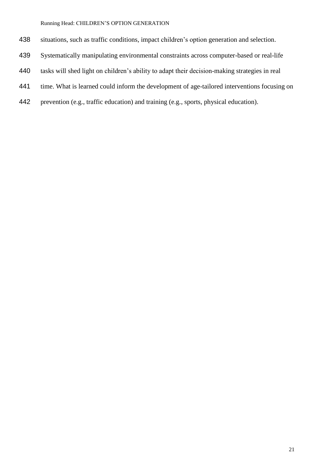- situations, such as traffic conditions, impact children's option generation and selection.
- Systematically manipulating environmental constraints across computer-based or real-life
- tasks will shed light on children's ability to adapt their decision-making strategies in real
- time. What is learned could inform the development of age-tailored interventions focusing on
- prevention (e.g., traffic education) and training (e.g., sports, physical education).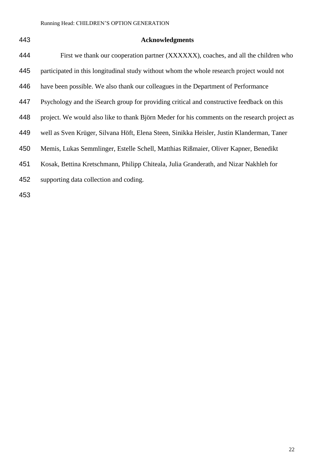# **Acknowledgments**

| 444 | First we thank our cooperation partner (XXXXXX), coaches, and all the children who           |
|-----|----------------------------------------------------------------------------------------------|
| 445 | participated in this longitudinal study without whom the whole research project would not    |
| 446 | have been possible. We also thank our colleagues in the Department of Performance            |
| 447 | Psychology and the iSearch group for providing critical and constructive feedback on this    |
| 448 | project. We would also like to thank Björn Meder for his comments on the research project as |
| 449 | well as Sven Krüger, Silvana Höft, Elena Steen, Sinikka Heisler, Justin Klanderman, Taner    |
| 450 | Memis, Lukas Semmlinger, Estelle Schell, Matthias Rißmaier, Oliver Kapner, Benedikt          |
| 451 | Kosak, Bettina Kretschmann, Philipp Chiteala, Julia Granderath, and Nizar Nakhleh for        |
| 452 | supporting data collection and coding.                                                       |
|     |                                                                                              |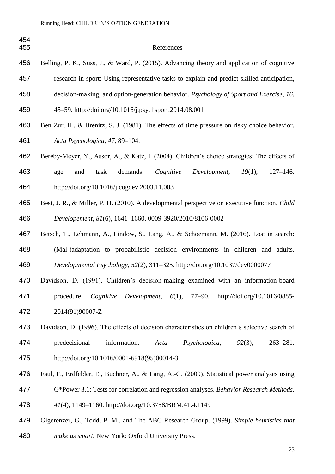| Belling, P. K., Suss, J., & Ward, P. (2015). Advancing theory and application of cognitive     |
|------------------------------------------------------------------------------------------------|
| research in sport: Using representative tasks to explain and predict skilled anticipation,     |
| decision-making, and option-generation behavior. Psychology of Sport and Exercise, 16,         |
| 45–59. http://doi.org/10.1016/j.psychsport.2014.08.001                                         |
| Ben Zur, H., & Brenitz, S. J. (1981). The effects of time pressure on risky choice behavior.   |
| Acta Psychologica, 47, 89–104.                                                                 |
| Bereby-Meyer, Y., Assor, A., & Katz, I. (2004). Children's choice strategies: The effects of   |
| demands.<br>Development,<br>$19(1)$ ,<br>$127 - 146.$<br>Cognitive<br>and<br>task<br>age       |
| http://doi.org/10.1016/j.cogdev.2003.11.003                                                    |
| Best, J. R., & Miller, P. H. (2010). A developmental perspective on executive function. Child  |
| Developement, 81(6), 1641-1660. 0009-3920/2010/8106-0002                                       |
| Betsch, T., Lehmann, A., Lindow, S., Lang, A., & Schoemann, M. (2016). Lost in search:         |
| (Mal-)adaptation to probabilistic decision environments in children and adults.                |
| Developmental Psychology, 52(2), 311-325. http://doi.org/10.1037/dev0000077                    |
| Davidson, D. (1991). Children's decision-making examined with an information-board             |
| <i>Cognitive Development,</i> $6(1)$ , $77-90$ . http://doi.org/10.1016/0885-<br>procedure.    |
| 2014(91)90007-Z                                                                                |
| Davidson, D. (1996). The effects of decision characteristics on children's selective search of |
| information.<br>predecisional<br>Psychologica,<br>$263 - 281.$<br>Acta<br>$92(3)$ ,            |
| http://doi.org/10.1016/0001-6918(95)00014-3                                                    |
| Faul, F., Erdfelder, E., Buchner, A., & Lang, A.-G. (2009). Statistical power analyses using   |
| G*Power 3.1: Tests for correlation and regression analyses. Behavior Research Methods,         |
| 41(4), 1149-1160. http://doi.org/10.3758/BRM.41.4.1149                                         |
|                                                                                                |

 Gigerenzer, G., Todd, P. M., and The ABC Research Group. (1999). *Simple heuristics that make us smart.* New York: Oxford University Press.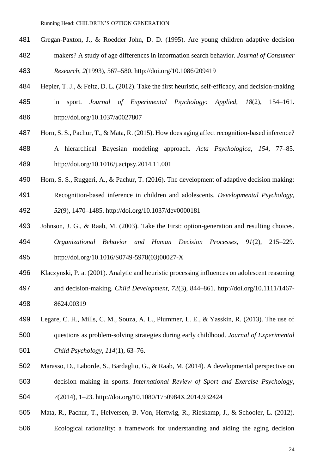- Gregan-Paxton, J., & Roedder John, D. D. (1995). Are young children adaptive decision
- makers? A study of age differences in information search behavior. *Journal of Consumer Research*, *2*(1993), 567–580. http://doi.org/10.1086/209419
- Hepler, T. J., & Feltz, D. L. (2012). Take the first heuristic, self-efficacy, and decision-making
- in sport. *Journal of Experimental Psychology: Applied*, *18*(2), 154–161. http://doi.org/10.1037/a0027807
- Horn, S. S., Pachur, T., & Mata, R. (2015). How does aging affect recognition-based inference?
- A hierarchical Bayesian modeling approach. *Acta Psychologica*, *154*, 77–85. http://doi.org/10.1016/j.actpsy.2014.11.001
- Horn, S. S., Ruggeri, A., & Pachur, T. (2016). The development of adaptive decision making:
- Recognition-based inference in children and adolescents. *Developmental Psychology*, *52*(9), 1470–1485. http://doi.org/10.1037/dev0000181
- Johnson, J. G., & Raab, M. (2003). Take the First: option-generation and resulting choices. *Organizational Behavior and Human Decision Processes*, *91*(2), 215–229. http://doi.org/10.1016/S0749-5978(03)00027-X
- Klaczynski, P. a. (2001). Analytic and heuristic processing influences on adolescent reasoning
- and decision-making. *Child Development*, *72*(3), 844–861. http://doi.org/10.1111/1467- 8624.00319
- Legare, C. H., Mills, C. M., Souza, A. L., Plummer, L. E., & Yasskin, R. (2013). The use of questions as problem-solving strategies during early childhood. *Journal of Experimental*
- *Child Psychology*, *114*(1), 63–76.
- Marasso, D., Laborde, S., Bardaglio, G., & Raab, M. (2014). A developmental perspective on
- decision making in sports. *International Review of Sport and Exercise Psychology*,
- *7*(2014), 1–23. http://doi.org/10.1080/1750984X.2014.932424
- Mata, R., Pachur, T., Helversen, B. Von, Hertwig, R., Rieskamp, J., & Schooler, L. (2012).
- Ecological rationality: a framework for understanding and aiding the aging decision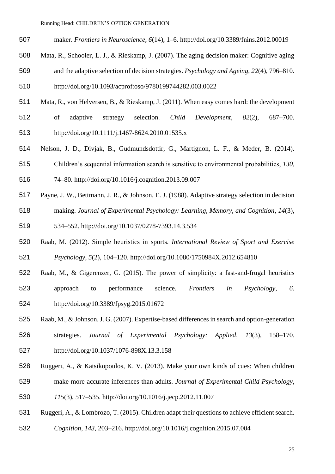- maker. *Frontiers in Neuroscience*, *6*(14), 1–6. http://doi.org/10.3389/fnins.2012.00019
- Mata, R., Schooler, L. J., & Rieskamp, J. (2007). The aging decision maker: Cognitive aging and the adaptive selection of decision strategies. *Psychology and Ageing*, *22*(4), 796–810.
- http://doi.org/10.1093/acprof:oso/9780199744282.003.0022
- Mata, R., von Helversen, B., & Rieskamp, J. (2011). When easy comes hard: the development
- of adaptive strategy selection. *Child Development*, *82*(2), 687–700. http://doi.org/10.1111/j.1467-8624.2010.01535.x
- Nelson, J. D., Divjak, B., Gudmundsdottir, G., Martignon, L. F., & Meder, B. (2014).
- Children's sequential information search is sensitive to environmental probabilities, *130*,
- 74–80. http://doi.org/10.1016/j.cognition.2013.09.007
- Payne, J. W., Bettmann, J. R., & Johnson, E. J. (1988). Adaptive strategy selection in decision
- making. *Journal of Experimental Psychology: Learning, Memory, and Cognition*, *14*(3),
- 534–552. http://doi.org/10.1037/0278-7393.14.3.534
- Raab, M. (2012). Simple heuristics in sports. *International Review of Sport and Exercise Psychology*, *5*(2), 104–120. http://doi.org/10.1080/1750984X.2012.654810
- Raab, M., & Gigerenzer, G. (2015). The power of simplicity: a fast-and-frugal heuristics approach to performance science. *Frontiers in Psychology*, *6*. http://doi.org/10.3389/fpsyg.2015.01672
- Raab, M., & Johnson, J. G. (2007). Expertise-based differences in search and option-generation strategies. *Journal of Experimental Psychology: Applied*, *13*(3), 158–170.
- http://doi.org/10.1037/1076-898X.13.3.158
- Ruggeri, A., & Katsikopoulos, K. V. (2013). Make your own kinds of cues: When children
- make more accurate inferences than adults. *Journal of Experimental Child Psychology*,
- *115*(3), 517–535. http://doi.org/10.1016/j.jecp.2012.11.007
- Ruggeri, A., & Lombrozo, T. (2015). Children adapt their questions to achieve efficient search.
- *Cognition*, *143*, 203–216. http://doi.org/10.1016/j.cognition.2015.07.004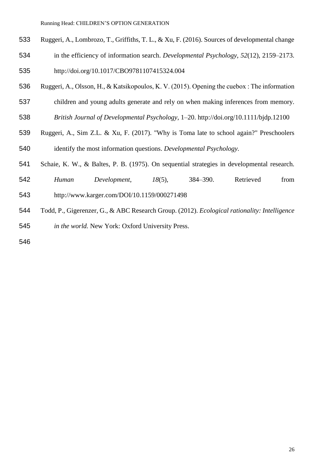- Ruggeri, A., Lombrozo, T., Griffiths, T. L., & Xu, F. (2016). Sources of developmental change
- in the efficiency of information search. *Developmental Psychology*, *52*(12), 2159–2173.
- http://doi.org/10.1017/CBO9781107415324.004
- Ruggeri, A., Olsson, H., & Katsikopoulos, K. V. (2015). Opening the cuebox : The information
- children and young adults generate and rely on when making inferences from memory.
- *British Journal of Developmental Psychology*, 1–20. http://doi.org/10.1111/bjdp.12100
- Ruggeri, A., Sim Z.L. & Xu, F. (2017). "Why is Toma late to school again?" Preschoolers identify the most information questions. *Developmental Psychology.*
- Schaie, K. W., & Baltes, P. B. (1975). On sequential strategies in developmental research.
- *Human Development*, *18*(5), 384–390. Retrieved from
- http://www.karger.com/DOI/10.1159/000271498
- Todd, P., Gigerenzer, G., & ABC Research Group. (2012). *Ecological rationality: Intelligence in the world.* New York: Oxford University Press.